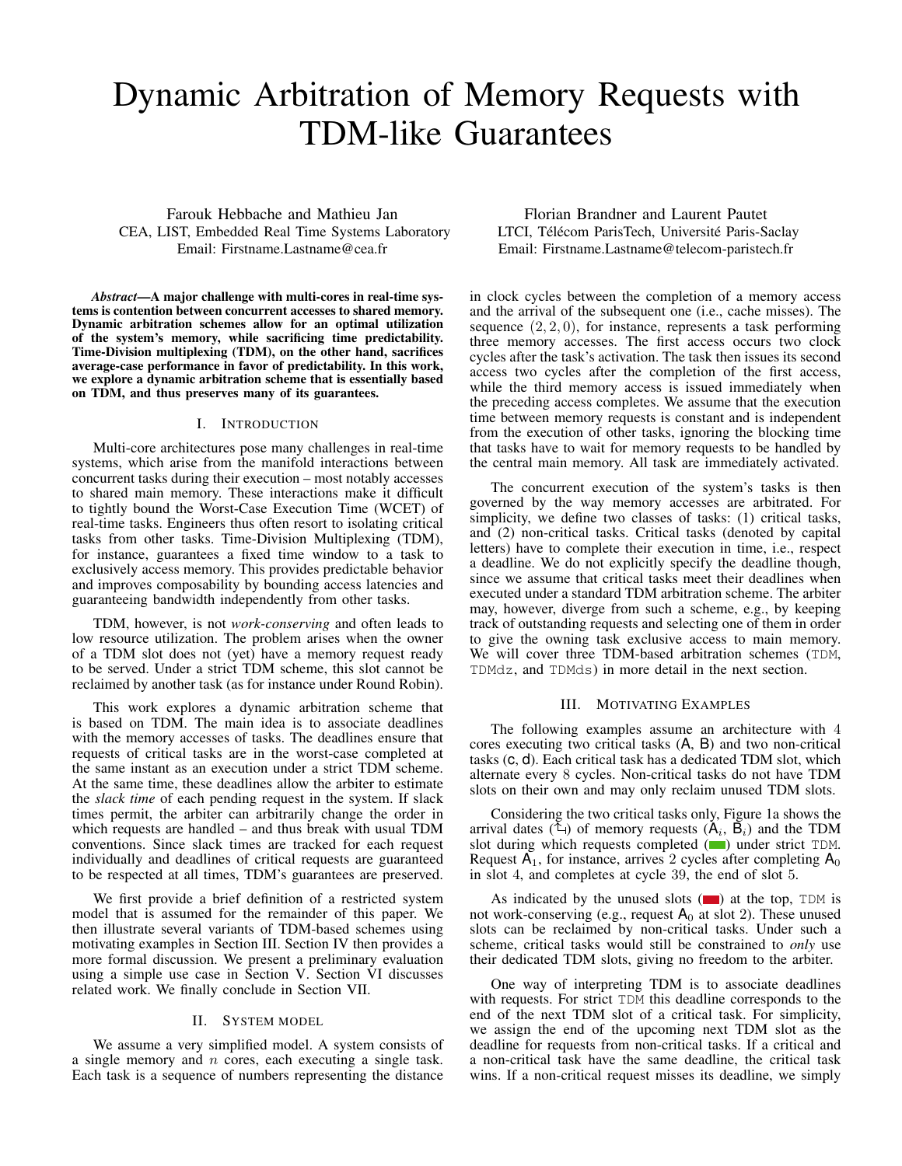# Dynamic Arbitration of Memory Requests with TDM-like Guarantees

Farouk Hebbache and Mathieu Jan CEA, LIST, Embedded Real Time Systems Laboratory Email: Firstname.Lastname@cea.fr

*Abstract*—A major challenge with multi-cores in real-time systems is contention between concurrent accesses to shared memory. Dynamic arbitration schemes allow for an optimal utilization of the system's memory, while sacrificing time predictability. Time-Division multiplexing (TDM), on the other hand, sacrifices average-case performance in favor of predictability. In this work, we explore a dynamic arbitration scheme that is essentially based on TDM, and thus preserves many of its guarantees.

### I. INTRODUCTION

Multi-core architectures pose many challenges in real-time systems, which arise from the manifold interactions between concurrent tasks during their execution – most notably accesses to shared main memory. These interactions make it difficult to tightly bound the Worst-Case Execution Time (WCET) of real-time tasks. Engineers thus often resort to isolating critical tasks from other tasks. Time-Division Multiplexing (TDM), for instance, guarantees a fixed time window to a task to exclusively access memory. This provides predictable behavior and improves composability by bounding access latencies and guaranteeing bandwidth independently from other tasks.

TDM, however, is not *work-conserving* and often leads to low resource utilization. The problem arises when the owner of a TDM slot does not (yet) have a memory request ready to be served. Under a strict TDM scheme, this slot cannot be reclaimed by another task (as for instance under Round Robin).

This work explores a dynamic arbitration scheme that is based on TDM. The main idea is to associate deadlines with the memory accesses of tasks. The deadlines ensure that requests of critical tasks are in the worst-case completed at the same instant as an execution under a strict TDM scheme. At the same time, these deadlines allow the arbiter to estimate the *slack time* of each pending request in the system. If slack times permit, the arbiter can arbitrarily change the order in which requests are handled – and thus break with usual TDM conventions. Since slack times are tracked for each request individually and deadlines of critical requests are guaranteed to be respected at all times, TDM's guarantees are preserved.

We first provide a brief definition of a restricted system model that is assumed for the remainder of this paper. We then illustrate several variants of TDM-based schemes using motivating examples in Section III. Section IV then provides a more formal discussion. We present a preliminary evaluation using a simple use case in Section V. Section VI discusses related work. We finally conclude in Section VII.

## II. SYSTEM MODEL

We assume a very simplified model. A system consists of a single memory and  $n$  cores, each executing a single task. Each task is a sequence of numbers representing the distance

Florian Brandner and Laurent Pautet LTCI, Télécom ParisTech, Université Paris-Saclay Email: Firstname.Lastname@telecom-paristech.fr

in clock cycles between the completion of a memory access and the arrival of the subsequent one (i.e., cache misses). The sequence  $(2, 2, 0)$ , for instance, represents a task performing three memory accesses. The first access occurs two clock cycles after the task's activation. The task then issues its second access two cycles after the completion of the first access, while the third memory access is issued immediately when the preceding access completes. We assume that the execution time between memory requests is constant and is independent from the execution of other tasks, ignoring the blocking time that tasks have to wait for memory requests to be handled by the central main memory. All task are immediately activated.

The concurrent execution of the system's tasks is then governed by the way memory accesses are arbitrated. For simplicity, we define two classes of tasks: (1) critical tasks, and (2) non-critical tasks. Critical tasks (denoted by capital letters) have to complete their execution in time, i.e., respect a deadline. We do not explicitly specify the deadline though, since we assume that critical tasks meet their deadlines when executed under a standard TDM arbitration scheme. The arbiter may, however, diverge from such a scheme, e.g., by keeping track of outstanding requests and selecting one of them in order to give the owning task exclusive access to main memory. We will cover three TDM-based arbitration schemes (TDM, TDMdz, and TDMds) in more detail in the next section.

#### III. MOTIVATING EXAMPLES

The following examples assume an architecture with 4 cores executing two critical tasks (A, B) and two non-critical tasks (c, d). Each critical task has a dedicated TDM slot, which alternate every 8 cycles. Non-critical tasks do not have TDM slots on their own and may only reclaim unused TDM slots.

Considering the two critical tasks only, Figure 1a shows the arrival dates ( $\hat{\mathbb{L}}$ ) of memory requests ( $A_i$ ,  $B_i$ ) and the TDM slot during which requests completed  $(\Box)$  under strict TDM. Request  $A_1$ , for instance, arrives 2 cycles after completing  $A_0$ in slot 4, and completes at cycle 39, the end of slot 5.

As indicated by the unused slots  $(\blacksquare)$  at the top, TDM is not work-conserving (e.g., request  $A_0$  at slot 2). These unused slots can be reclaimed by non-critical tasks. Under such a scheme, critical tasks would still be constrained to *only* use their dedicated TDM slots, giving no freedom to the arbiter.

One way of interpreting TDM is to associate deadlines with requests. For strict TDM this deadline corresponds to the end of the next TDM slot of a critical task. For simplicity, we assign the end of the upcoming next TDM slot as the deadline for requests from non-critical tasks. If a critical and a non-critical task have the same deadline, the critical task wins. If a non-critical request misses its deadline, we simply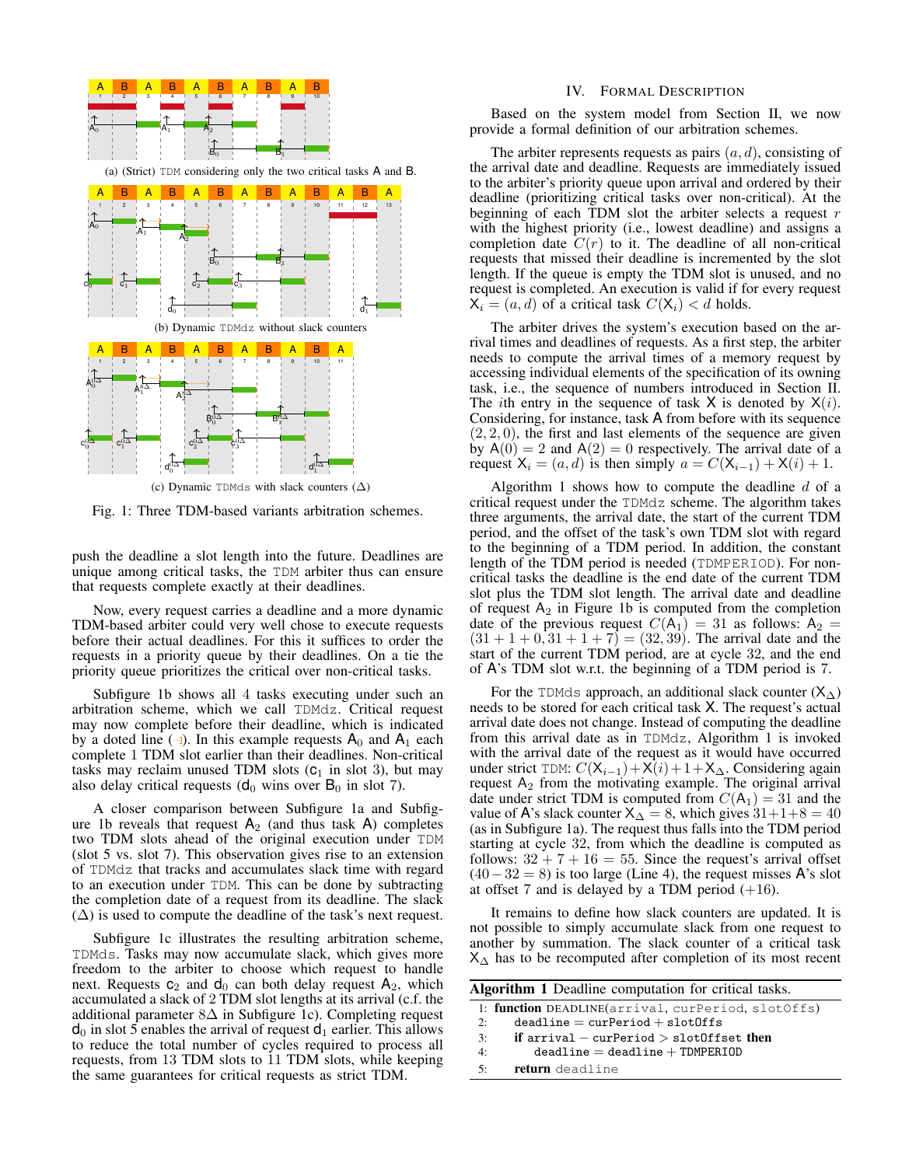

Fig. 1: Three TDM-based variants arbitration schemes.

push the deadline a slot length into the future. Deadlines are unique among critical tasks, the TDM arbiter thus can ensure that requests complete exactly at their deadlines.

Now, every request carries a deadline and a more dynamic TDM-based arbiter could very well chose to execute requests before their actual deadlines. For this it suffices to order the requests in a priority queue by their deadlines. On a tie the priority queue prioritizes the critical over non-critical tasks.

Subfigure 1b shows all 4 tasks executing under such an arbitration scheme, which we call TDMdz. Critical request may now complete before their deadline, which is indicated by a doted line ( $\rightarrow$ ). In this example requests  $A_0$  and  $A_1$  each complete 1 TDM slot earlier than their deadlines. Non-critical tasks may reclaim unused TDM slots  $(C_1$  in slot 3), but may also delay critical requests ( $d_0$  wins over  $B_0$  in slot 7).

A closer comparison between Subfigure 1a and Subfigure 1b reveals that request  $A_2$  (and thus task A) completes two TDM slots ahead of the original execution under TDM (slot 5 vs. slot 7). This observation gives rise to an extension of TDMdz that tracks and accumulates slack time with regard to an execution under TDM. This can be done by subtracting the completion date of a request from its deadline. The slack  $(\Delta)$  is used to compute the deadline of the task's next request.

Subfigure 1c illustrates the resulting arbitration scheme, TDMds. Tasks may now accumulate slack, which gives more freedom to the arbiter to choose which request to handle next. Requests  $c_2$  and  $d_0$  can both delay request  $A_2$ , which accumulated a slack of 2 TDM slot lengths at its arrival (c.f. the additional parameter 8∆ in Subfigure 1c). Completing request  $d_0$  in slot 5 enables the arrival of request  $d_1$  earlier. This allows to reduce the total number of cycles required to process all requests, from 13 TDM slots to 11 TDM slots, while keeping the same guarantees for critical requests as strict TDM.

#### IV. FORMAL DESCRIPTION

Based on the system model from Section II, we now provide a formal definition of our arbitration schemes.

The arbiter represents requests as pairs  $(a, d)$ , consisting of the arrival date and deadline. Requests are immediately issued to the arbiter's priority queue upon arrival and ordered by their deadline (prioritizing critical tasks over non-critical). At the beginning of each TDM slot the arbiter selects a request  $r$ with the highest priority (i.e., lowest deadline) and assigns a completion date  $C(r)$  to it. The deadline of all non-critical requests that missed their deadline is incremented by the slot length. If the queue is empty the TDM slot is unused, and no request is completed. An execution is valid if for every request  $X_i = (a, d)$  of a critical task  $C(X_i) < d$  holds.

The arbiter drives the system's execution based on the arrival times and deadlines of requests. As a first step, the arbiter needs to compute the arrival times of a memory request by accessing individual elements of the specification of its owning task, i.e., the sequence of numbers introduced in Section II. The *i*th entry in the sequence of task  $X$  is denoted by  $X(i)$ . Considering, for instance, task A from before with its sequence  $(2, 2, 0)$ , the first and last elements of the sequence are given by  $A(0) = 2$  and  $A(2) = 0$  respectively. The arrival date of a request  $X_i = (a, d)$  is then simply  $a = C(X_{i-1}) + X(i) + 1$ .

Algorithm 1 shows how to compute the deadline  $d$  of a critical request under the TDMdz scheme. The algorithm takes three arguments, the arrival date, the start of the current TDM period, and the offset of the task's own TDM slot with regard to the beginning of a TDM period. In addition, the constant length of the TDM period is needed (TDMPERIOD). For noncritical tasks the deadline is the end date of the current TDM slot plus the TDM slot length. The arrival date and deadline of request  $A_2$  in Figure 1b is computed from the completion date of the previous request  $C(A_1) = 31$  as follows:  $A_2 =$  $(31 + 1 + 0, 31 + 1 + 7) = (32, 39)$ . The arrival date and the start of the current TDM period, are at cycle 32, and the end of A's TDM slot w.r.t. the beginning of a TDM period is 7.

For the TDMds approach, an additional slack counter  $(X<sub>∆</sub>)$ needs to be stored for each critical task X. The request's actual arrival date does not change. Instead of computing the deadline from this arrival date as in TDMdz, Algorithm 1 is invoked with the arrival date of the request as it would have occurred under strict TDM:  $C(\mathsf{X}_{i-1}) + \mathsf{X}(i) + 1 + \mathsf{X}_{\Delta}$ . Considering again request  $A_2$  from the motivating example. The original arrival date under strict TDM is computed from  $C(A_1) = 31$  and the value of A's slack counter  $X_\Delta = 8$ , which gives  $31+1+8 = 40$ (as in Subfigure 1a). The request thus falls into the TDM period starting at cycle 32, from which the deadline is computed as follows:  $32 + 7 + 16 = 55$ . Since the request's arrival offset  $(40-32=8)$  is too large (Line 4), the request misses A's slot at offset 7 and is delayed by a TDM period  $(+16)$ .

It remains to define how slack counters are updated. It is not possible to simply accumulate slack from one request to another by summation. The slack counter of a critical task  $X_{\Delta}$  has to be recomputed after completion of its most recent

| <b>Algorithm 1</b> Deadline computation for critical tasks. |                                                    |  |  |  |
|-------------------------------------------------------------|----------------------------------------------------|--|--|--|
|                                                             | 1: function DEADLINE(arrival, curPeriod, slotOffs) |  |  |  |
| 2:                                                          | $deadline = curPeriod + slotOffs$                  |  |  |  |
| 3:                                                          | if arrival – cur $Period > slot0$ ffset then       |  |  |  |
| 4:                                                          | $deadline = deadline + TDMPERIOD$                  |  |  |  |
| 5:                                                          | return deadline                                    |  |  |  |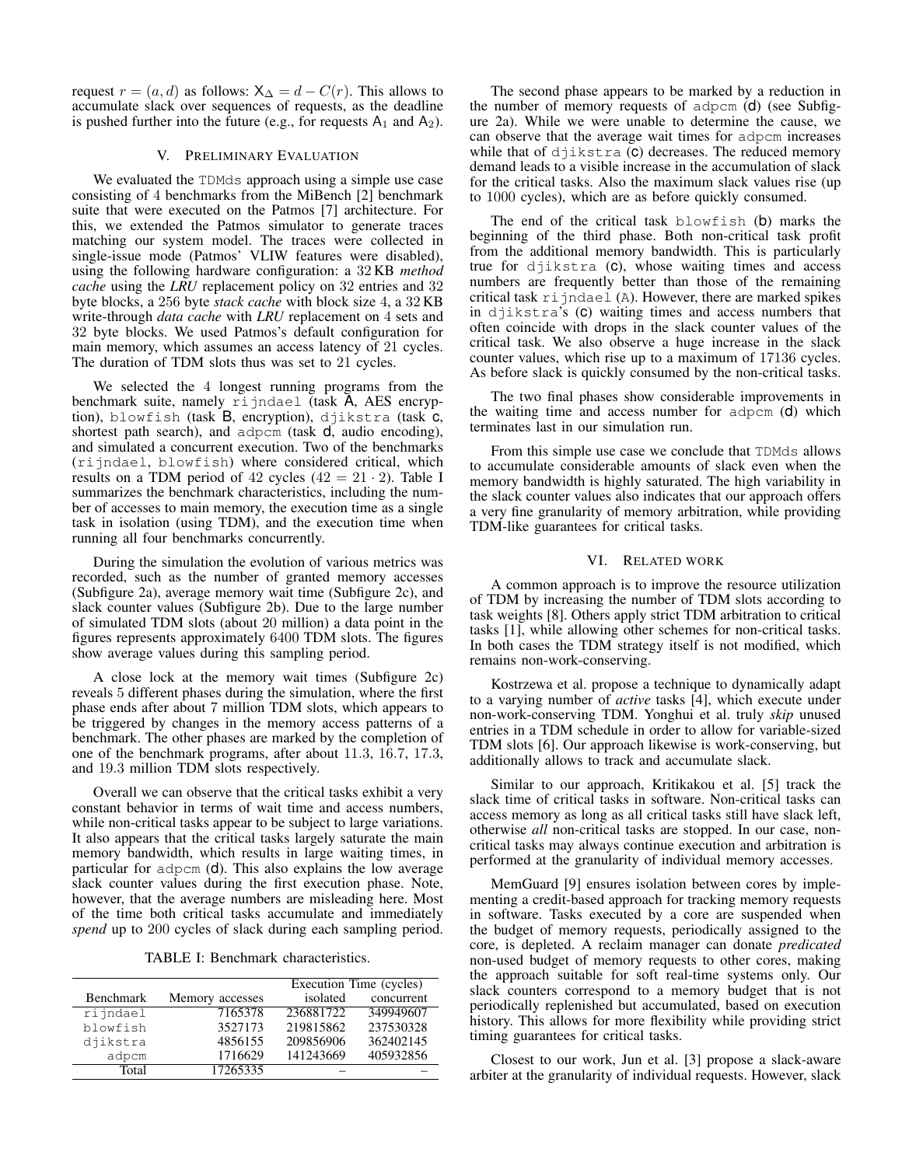request  $r = (a, d)$  as follows:  $X_\Delta = d - C(r)$ . This allows to accumulate slack over sequences of requests, as the deadline is pushed further into the future (e.g., for requests  $A_1$  and  $A_2$ ).

## V. PRELIMINARY EVALUATION

We evaluated the TDMds approach using a simple use case consisting of 4 benchmarks from the MiBench [2] benchmark suite that were executed on the Patmos [7] architecture. For this, we extended the Patmos simulator to generate traces matching our system model. The traces were collected in single-issue mode (Patmos' VLIW features were disabled), using the following hardware configuration: a 32 KB *method cache* using the *LRU* replacement policy on 32 entries and 32 byte blocks, a 256 byte *stack cache* with block size 4, a 32 KB write-through *data cache* with *LRU* replacement on 4 sets and 32 byte blocks. We used Patmos's default configuration for main memory, which assumes an access latency of 21 cycles. The duration of TDM slots thus was set to 21 cycles.

We selected the 4 longest running programs from the benchmark suite, namely rijndael (task A, AES encryption), blowfish (task B, encryption), djikstra (task c, shortest path search), and adpcm (task d, audio encoding), and simulated a concurrent execution. Two of the benchmarks (rijndael, blowfish) where considered critical, which results on a TDM period of 42 cycles  $(42 = 21 \cdot 2)$ . Table I summarizes the benchmark characteristics, including the number of accesses to main memory, the execution time as a single task in isolation (using TDM), and the execution time when running all four benchmarks concurrently.

During the simulation the evolution of various metrics was recorded, such as the number of granted memory accesses (Subfigure 2a), average memory wait time (Subfigure 2c), and slack counter values (Subfigure 2b). Due to the large number of simulated TDM slots (about 20 million) a data point in the figures represents approximately 6400 TDM slots. The figures show average values during this sampling period.

A close lock at the memory wait times (Subfigure 2c) reveals 5 different phases during the simulation, where the first phase ends after about 7 million TDM slots, which appears to be triggered by changes in the memory access patterns of a benchmark. The other phases are marked by the completion of one of the benchmark programs, after about 11.3, 16.7, 17.3, and 19.3 million TDM slots respectively.

Overall we can observe that the critical tasks exhibit a very constant behavior in terms of wait time and access numbers, while non-critical tasks appear to be subject to large variations. It also appears that the critical tasks largely saturate the main memory bandwidth, which results in large waiting times, in particular for adpcm (d). This also explains the low average slack counter values during the first execution phase. Note, however, that the average numbers are misleading here. Most of the time both critical tasks accumulate and immediately *spend* up to 200 cycles of slack during each sampling period.

TABLE I: Benchmark characteristics.

|           |                 |           | Execution Time (cycles) |  |
|-----------|-----------------|-----------|-------------------------|--|
| Benchmark | Memory accesses | isolated  | concurrent              |  |
| rijndael  | 7165378         | 236881722 | 349949607               |  |
| blowfish  | 3527173         | 219815862 | 237530328               |  |
| djikstra  | 4856155         | 209856906 | 362402145               |  |
| adpcm     | 1716629         | 141243669 | 405932856               |  |
| Total     | 17265335        |           |                         |  |

The second phase appears to be marked by a reduction in the number of memory requests of adpcm (d) (see Subfigure 2a). While we were unable to determine the cause, we can observe that the average wait times for adpcm increases while that of  $d$ jikstra ( $c$ ) decreases. The reduced memory demand leads to a visible increase in the accumulation of slack for the critical tasks. Also the maximum slack values rise (up to 1000 cycles), which are as before quickly consumed.

The end of the critical task blowfish (b) marks the beginning of the third phase. Both non-critical task profit from the additional memory bandwidth. This is particularly true for djikstra (c), whose waiting times and access numbers are frequently better than those of the remaining critical task  $ri$  jndael (A). However, there are marked spikes in djikstra's (c) waiting times and access numbers that often coincide with drops in the slack counter values of the critical task. We also observe a huge increase in the slack counter values, which rise up to a maximum of 17136 cycles. As before slack is quickly consumed by the non-critical tasks.

The two final phases show considerable improvements in the waiting time and access number for adpcm (d) which terminates last in our simulation run.

From this simple use case we conclude that TDMds allows to accumulate considerable amounts of slack even when the memory bandwidth is highly saturated. The high variability in the slack counter values also indicates that our approach offers a very fine granularity of memory arbitration, while providing TDM-like guarantees for critical tasks.

## VI. RELATED WORK

A common approach is to improve the resource utilization of TDM by increasing the number of TDM slots according to task weights [8]. Others apply strict TDM arbitration to critical tasks [1], while allowing other schemes for non-critical tasks. In both cases the TDM strategy itself is not modified, which remains non-work-conserving.

Kostrzewa et al. propose a technique to dynamically adapt to a varying number of *active* tasks [4], which execute under non-work-conserving TDM. Yonghui et al. truly *skip* unused entries in a TDM schedule in order to allow for variable-sized TDM slots [6]. Our approach likewise is work-conserving, but additionally allows to track and accumulate slack.

Similar to our approach, Kritikakou et al. [5] track the slack time of critical tasks in software. Non-critical tasks can access memory as long as all critical tasks still have slack left, otherwise *all* non-critical tasks are stopped. In our case, noncritical tasks may always continue execution and arbitration is performed at the granularity of individual memory accesses.

MemGuard [9] ensures isolation between cores by implementing a credit-based approach for tracking memory requests in software. Tasks executed by a core are suspended when the budget of memory requests, periodically assigned to the core, is depleted. A reclaim manager can donate *predicated* non-used budget of memory requests to other cores, making the approach suitable for soft real-time systems only. Our slack counters correspond to a memory budget that is not periodically replenished but accumulated, based on execution history. This allows for more flexibility while providing strict timing guarantees for critical tasks.

Closest to our work, Jun et al. [3] propose a slack-aware arbiter at the granularity of individual requests. However, slack